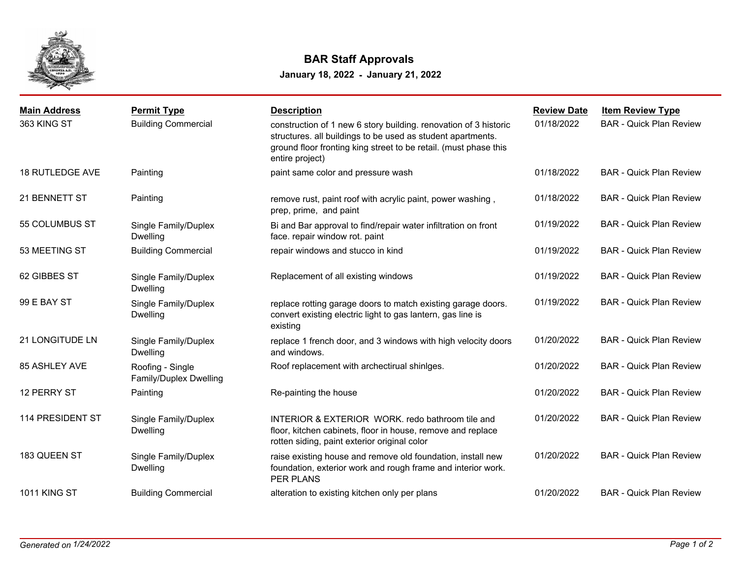

## **BAR Staff Approvals**

**January 18, 2022 - January 21, 2022**

| <b>Main Address</b>    | <b>Permit Type</b>                         | <b>Description</b>                                                                                                                                                                                                     | <b>Review Date</b> | <b>Item Review Type</b>        |
|------------------------|--------------------------------------------|------------------------------------------------------------------------------------------------------------------------------------------------------------------------------------------------------------------------|--------------------|--------------------------------|
| 363 KING ST            | <b>Building Commercial</b>                 | construction of 1 new 6 story building. renovation of 3 historic<br>structures. all buildings to be used as student apartments.<br>ground floor fronting king street to be retail. (must phase this<br>entire project) | 01/18/2022         | <b>BAR - Quick Plan Review</b> |
| <b>18 RUTLEDGE AVE</b> | Painting                                   | paint same color and pressure wash                                                                                                                                                                                     | 01/18/2022         | <b>BAR - Quick Plan Review</b> |
| 21 BENNETT ST          | Painting                                   | remove rust, paint roof with acrylic paint, power washing,<br>prep, prime, and paint                                                                                                                                   | 01/18/2022         | <b>BAR - Quick Plan Review</b> |
| 55 COLUMBUS ST         | Single Family/Duplex<br><b>Dwelling</b>    | Bi and Bar approval to find/repair water infiltration on front<br>face. repair window rot. paint                                                                                                                       | 01/19/2022         | <b>BAR - Quick Plan Review</b> |
| 53 MEETING ST          | <b>Building Commercial</b>                 | repair windows and stucco in kind                                                                                                                                                                                      | 01/19/2022         | <b>BAR - Quick Plan Review</b> |
| 62 GIBBES ST           | Single Family/Duplex<br><b>Dwelling</b>    | Replacement of all existing windows                                                                                                                                                                                    | 01/19/2022         | <b>BAR - Quick Plan Review</b> |
| 99 E BAY ST            | Single Family/Duplex<br>Dwelling           | replace rotting garage doors to match existing garage doors.<br>convert existing electric light to gas lantern, gas line is<br>existing                                                                                | 01/19/2022         | <b>BAR - Quick Plan Review</b> |
| 21 LONGITUDE LN        | Single Family/Duplex<br><b>Dwelling</b>    | replace 1 french door, and 3 windows with high velocity doors<br>and windows.                                                                                                                                          | 01/20/2022         | <b>BAR - Quick Plan Review</b> |
| 85 ASHLEY AVE          | Roofing - Single<br>Family/Duplex Dwelling | Roof replacement with archectirual shinlges.                                                                                                                                                                           | 01/20/2022         | <b>BAR - Quick Plan Review</b> |
| 12 PERRY ST            | Painting                                   | Re-painting the house                                                                                                                                                                                                  | 01/20/2022         | <b>BAR - Quick Plan Review</b> |
| 114 PRESIDENT ST       | Single Family/Duplex<br><b>Dwelling</b>    | INTERIOR & EXTERIOR WORK. redo bathroom tile and<br>floor, kitchen cabinets, floor in house, remove and replace<br>rotten siding, paint exterior original color                                                        | 01/20/2022         | <b>BAR - Quick Plan Review</b> |
| 183 QUEEN ST           | Single Family/Duplex<br><b>Dwelling</b>    | raise existing house and remove old foundation, install new<br>foundation, exterior work and rough frame and interior work.<br>PER PLANS                                                                               | 01/20/2022         | <b>BAR - Quick Plan Review</b> |
| <b>1011 KING ST</b>    | <b>Building Commercial</b>                 | alteration to existing kitchen only per plans                                                                                                                                                                          | 01/20/2022         | <b>BAR - Quick Plan Review</b> |